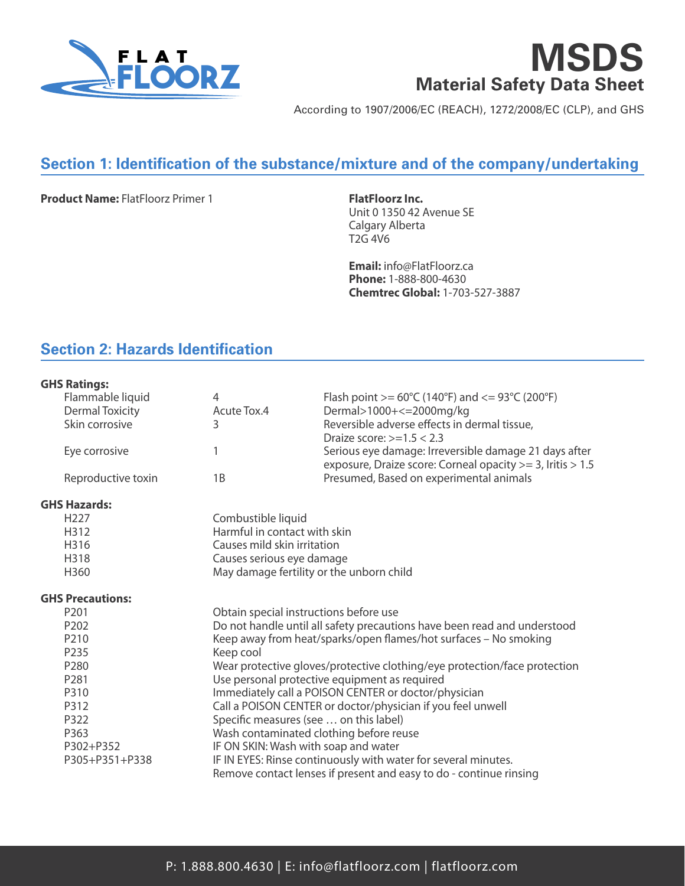

# **MSDS Material Safety Data Sheet**

According to 1907/2006/EC (REACH), 1272/2008/EC (CLP), and GHS

## **Section 1: Identification of the substance/mixture and of the company/undertaking**

**Product Name:** FlatFloorz Primer 1 **FlatFloorz Inc.** 

Unit 0 1350 42 Avenue SE Calgary Alberta T2G 4V6

**Email:** info@FlatFloorz.ca **Phone:** 1-888-800-4630 **Chemtrec Global:** 1-703-527-3887

## **Section 2: Hazards Identification**

## **GHS Ratings:**

| Flammable liquid        | 4                                      | Flash point >= $60^{\circ}$ C (140°F) and <= $93^{\circ}$ C (200°F)                                                 |
|-------------------------|----------------------------------------|---------------------------------------------------------------------------------------------------------------------|
| <b>Dermal Toxicity</b>  | Acute Tox.4                            | Dermal>1000+<=2000mg/kg                                                                                             |
| Skin corrosive          | 3                                      | Reversible adverse effects in dermal tissue,                                                                        |
|                         |                                        | Draize score: $>=1.5 < 2.3$                                                                                         |
| Eye corrosive           | 1                                      | Serious eye damage: Irreversible damage 21 days after<br>exposure, Draize score: Corneal opacity >= 3, Iritis > 1.5 |
| Reproductive toxin      | 1B                                     | Presumed, Based on experimental animals                                                                             |
| GHS Hazards:            |                                        |                                                                                                                     |
| H <sub>227</sub>        | Combustible liquid                     |                                                                                                                     |
| H312                    | Harmful in contact with skin           |                                                                                                                     |
| H316                    | Causes mild skin irritation            |                                                                                                                     |
| H318                    | Causes serious eye damage              |                                                                                                                     |
| H360                    |                                        | May damage fertility or the unborn child                                                                            |
| <b>GHS Precautions:</b> |                                        |                                                                                                                     |
| P <sub>201</sub>        | Obtain special instructions before use |                                                                                                                     |
| P <sub>202</sub>        |                                        | Do not handle until all safety precautions have been read and understood                                            |
| P210                    |                                        | Keep away from heat/sparks/open flames/hot surfaces - No smoking                                                    |
| P235                    | Keep cool                              |                                                                                                                     |
| P280                    |                                        | Wear protective gloves/protective clothing/eye protection/face protection                                           |
| P <sub>281</sub>        |                                        | Use personal protective equipment as required                                                                       |
| P310                    |                                        | Immediately call a POISON CENTER or doctor/physician                                                                |
| P312                    |                                        | Call a POISON CENTER or doctor/physician if you feel unwell                                                         |
| P322                    | Specific measures (see  on this label) |                                                                                                                     |
| P363                    |                                        | Wash contaminated clothing before reuse                                                                             |
| P302+P352               | IF ON SKIN: Wash with soap and water   |                                                                                                                     |
| P305+P351+P338          |                                        | IF IN EYES: Rinse continuously with water for several minutes.                                                      |
|                         |                                        | Remove contact lenses if present and easy to do - continue rinsing                                                  |
|                         |                                        |                                                                                                                     |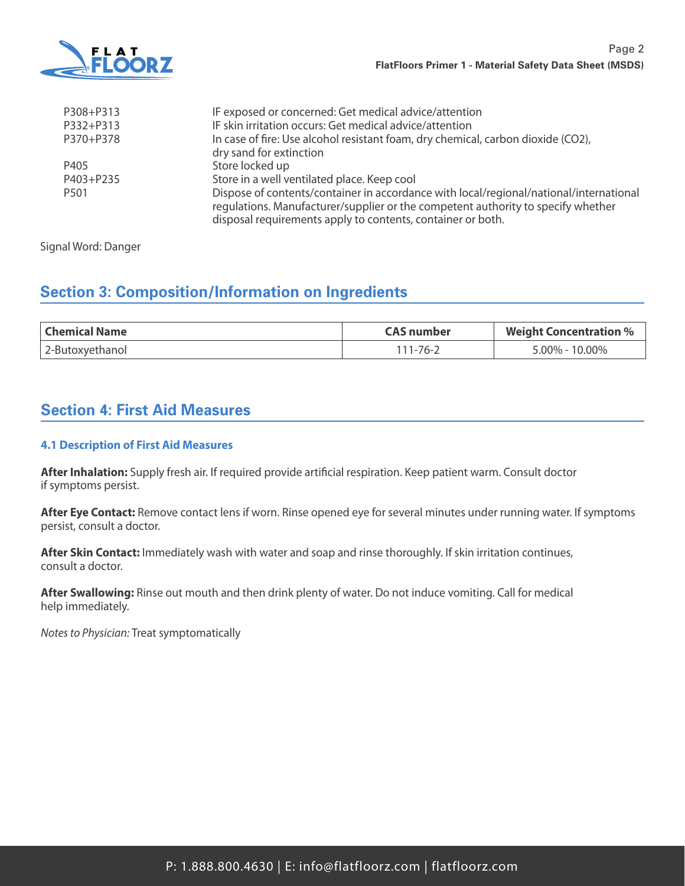

| P308+P313        | IF exposed or concerned: Get medical advice/attention                                                                                                                                                                                     |
|------------------|-------------------------------------------------------------------------------------------------------------------------------------------------------------------------------------------------------------------------------------------|
| P332+P313        | IF skin irritation occurs: Get medical advice/attention                                                                                                                                                                                   |
| P370+P378        | In case of fire: Use alcohol resistant foam, dry chemical, carbon dioxide (CO2),                                                                                                                                                          |
|                  | dry sand for extinction                                                                                                                                                                                                                   |
| P405             | Store locked up                                                                                                                                                                                                                           |
| P403+P235        | Store in a well ventilated place. Keep cool                                                                                                                                                                                               |
| P <sub>501</sub> | Dispose of contents/container in accordance with local/regional/national/international<br>regulations. Manufacturer/supplier or the competent authority to specify whether<br>disposal requirements apply to contents, container or both. |

Signal Word: Danger

## **Section 3: Composition/Information on Ingredients**

| ' Chemical Name | CAS number | <b>Weight Concentration %</b> |
|-----------------|------------|-------------------------------|
| 2-Butoxyethanol | 111-76-2   | 5.00% - 10.00%                |

## **Section 4: First Aid Measures**

## **4.1 Description of First Aid Measures**

**After Inhalation:** Supply fresh air. If required provide artificial respiration. Keep patient warm. Consult doctor if symptoms persist.

**After Eye Contact:** Remove contact lens if worn. Rinse opened eye for several minutes under running water. If symptoms persist, consult a doctor.

**After Skin Contact:** Immediately wash with water and soap and rinse thoroughly. If skin irritation continues, consult a doctor.

**After Swallowing:** Rinse out mouth and then drink plenty of water. Do not induce vomiting. Call for medical help immediately.

*Notes to Physician:* Treat symptomatically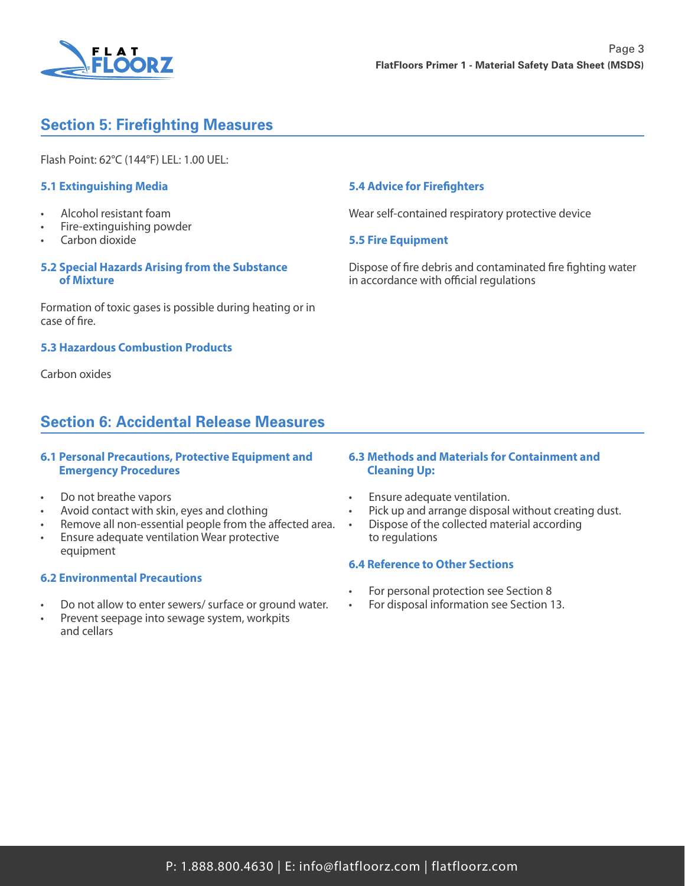

## **Section 5: Firefighting Measures**

Flash Point: 62°C (144°F) LEL: 1.00 UEL:

## **5.1 Extinguishing Media**

- Alcohol resistant foam
- Fire-extinguishing powder
- Carbon dioxide

## **5.2 Special Hazards Arising from the Substance of Mixture**

Formation of toxic gases is possible during heating or in case of fire.

#### **5.3 Hazardous Combustion Products**

Carbon oxides

## **Section 6: Accidental Release Measures**

## **6.1 Personal Precautions, Protective Equipment and Emergency Procedures**

- Do not breathe vapors
- Avoid contact with skin, eyes and clothing
- Remove all non-essential people from the affected area.
- Ensure adequate ventilation Wear protective equipment

#### **6.2 Environmental Precautions**

- Do not allow to enter sewers/ surface or ground water.
- Prevent seepage into sewage system, workpits and cellars

## **5.4 Advice for Firefighters**

Wear self-contained respiratory protective device

## **5.5 Fire Equipment**

Dispose of fire debris and contaminated fire fighting water in accordance with official regulations

#### **6.3 Methods and Materials for Containment and Cleaning Up:**

- Ensure adequate ventilation.
	- Pick up and arrange disposal without creating dust.
- Dispose of the collected material according to regulations

#### **6.4 Reference to Other Sections**

- For personal protection see Section 8
- For disposal information see Section 13.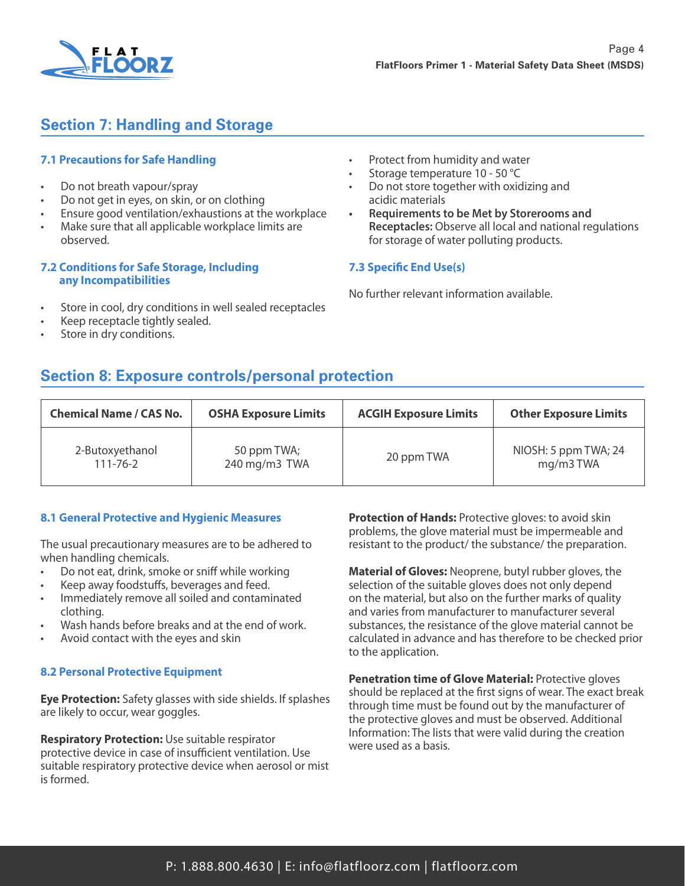

## **Section 7: Handling and Storage**

## **7.1 Precautions for Safe Handling**

- Do not breath vapour/spray
- Do not get in eyes, on skin, or on clothing
- Ensure good ventilation/exhaustions at the workplace
- Make sure that all applicable workplace limits are observed.

#### **7.2 Conditions for Safe Storage, Including any Incompatibilities**

- Store in cool, dry conditions in well sealed receptacles
- Keep receptacle tightly sealed.
- Store in dry conditions.
- Protect from humidity and water
- Storage temperature 10 50 °C
- Do not store together with oxidizing and acidic materials
- **• Requirements to be Met by Storerooms and Receptacles:** Observe all local and national regulations for storage of water polluting products.

## **7.3 Specific End Use(s)**

No further relevant information available.

## **Section 8: Exposure controls/personal protection**

| <b>Chemical Name / CAS No.</b> | <b>OSHA Exposure Limits</b> | <b>ACGIH Exposure Limits</b> | <b>Other Exposure Limits</b> |
|--------------------------------|-----------------------------|------------------------------|------------------------------|
| 2-Butoxyethanol                | 50 ppm TWA;                 | 20 ppm TWA                   | NIOSH: 5 ppm TWA; 24         |
| $111 - 76 - 2$                 | 240 mg/m3 TWA               |                              | mg/m3TWA                     |

## **8.1 General Protective and Hygienic Measures**

The usual precautionary measures are to be adhered to when handling chemicals.

- Do not eat, drink, smoke or sniff while working
- Keep away foodstuffs, beverages and feed.
- Immediately remove all soiled and contaminated clothing.
- Wash hands before breaks and at the end of work.
- Avoid contact with the eyes and skin

## **8.2 Personal Protective Equipment**

**Eye Protection:** Safety glasses with side shields. If splashes are likely to occur, wear goggles.

**Respiratory Protection:** Use suitable respirator protective device in case of insufficient ventilation. Use suitable respiratory protective device when aerosol or mist is formed.

**Protection of Hands:** Protective gloves: to avoid skin problems, the glove material must be impermeable and resistant to the product/ the substance/ the preparation.

**Material of Gloves:** Neoprene, butyl rubber gloves, the selection of the suitable gloves does not only depend on the material, but also on the further marks of quality and varies from manufacturer to manufacturer several substances, the resistance of the glove material cannot be calculated in advance and has therefore to be checked prior to the application.

**Penetration time of Glove Material:** Protective gloves should be replaced at the first signs of wear. The exact break through time must be found out by the manufacturer of the protective gloves and must be observed. Additional Information: The lists that were valid during the creation were used as a basis.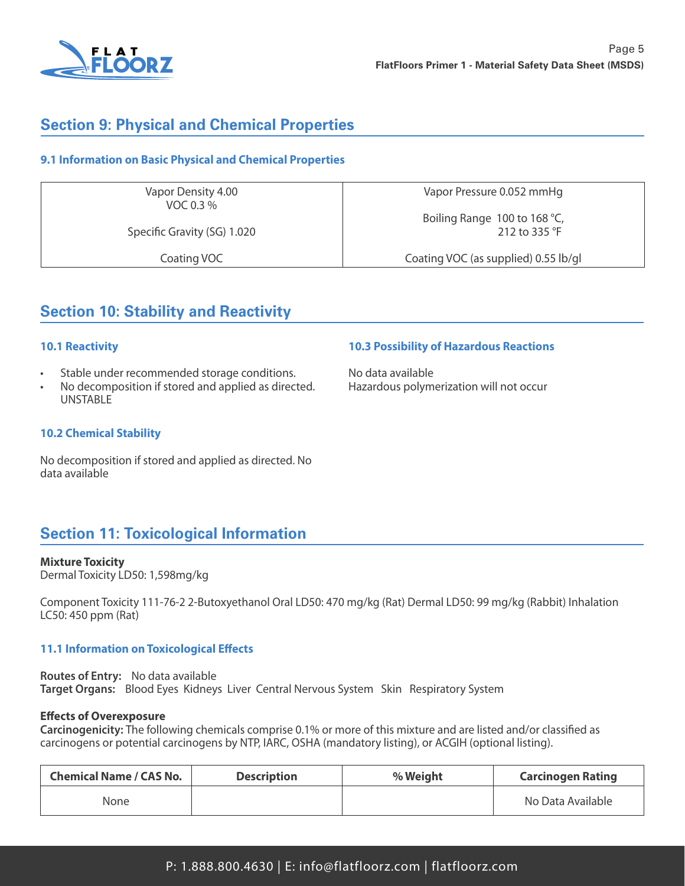

## **Section 9: Physical and Chemical Properties**

## **9.1 Information on Basic Physical and Chemical Properties**

Vapor Density 4.00 VOC 0.3 %

Specific Gravity (SG) 1.020

Coating VOC

Vapor Pressure 0.052 mmHg

Boiling Range 100 to 168 °C, 212 to 335 °F

Coating VOC (as supplied) 0.55 lb/gl

**10.3 Possibility of Hazardous Reactions**

Hazardous polymerization will not occur

No data available

## **Section 10: Stability and Reactivity**

## **10.1 Reactivity**

- Stable under recommended storage conditions.
- No decomposition if stored and applied as directed. UNSTABLE

## **10.2 Chemical Stability**

No decomposition if stored and applied as directed. No data available

## **Section 11: Toxicological Information**

#### **Mixture Toxicity**

Dermal Toxicity LD50: 1,598mg/kg

Component Toxicity 111-76-2 2-Butoxyethanol Oral LD50: 470 mg/kg (Rat) Dermal LD50: 99 mg/kg (Rabbit) Inhalation LC50: 450 ppm (Rat)

## **11.1 Information on Toxicological Effects**

**Routes of Entry:** No data available **Target Organs:** Blood Eyes Kidneys Liver Central Nervous System Skin Respiratory System

## **Effects of Overexposure**

**Carcinogenicity:** The following chemicals comprise 0.1% or more of this mixture and are listed and/or classified as carcinogens or potential carcinogens by NTP, IARC, OSHA (mandatory listing), or ACGIH (optional listing).

| <b>Chemical Name / CAS No.</b> | <b>Description</b> | % Weight | <b>Carcinogen Rating</b> |
|--------------------------------|--------------------|----------|--------------------------|
| None                           |                    |          | No Data Available        |

P: 1.888.800.4630 | E: info@flatfloorz.com | flatfloorz.com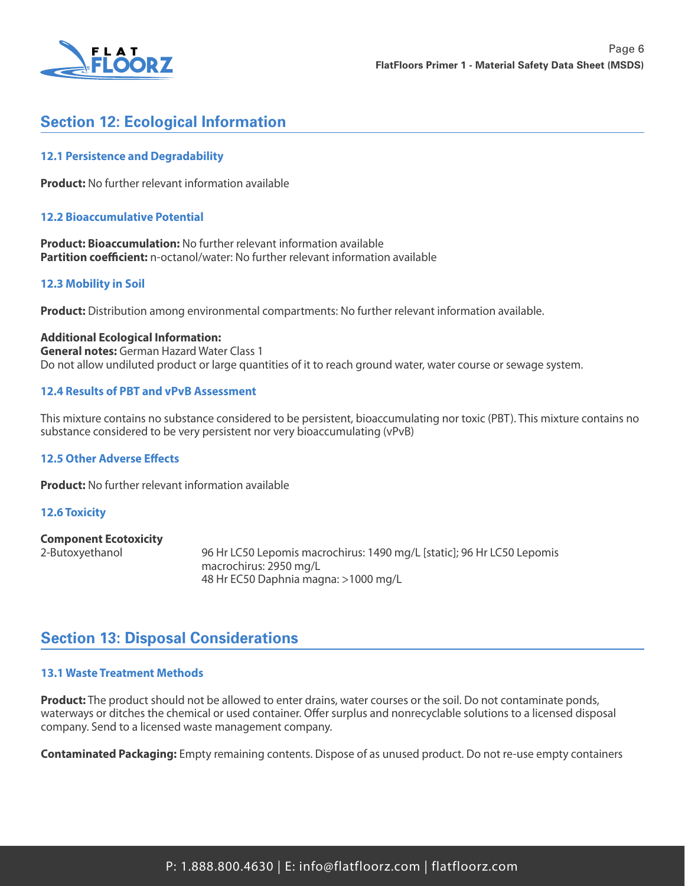

## **Section 12: Ecological Information**

## **12.1 Persistence and Degradability**

**Product:** No further relevant information available

## **12.2 Bioaccumulative Potential**

**Product: Bioaccumulation:** No further relevant information available **Partition coefficient:** n-octanol/water: No further relevant information available

## **12.3 Mobility in Soil**

**Product:** Distribution among environmental compartments: No further relevant information available.

#### **Additional Ecological Information:**

**General notes:** German Hazard Water Class 1 Do not allow undiluted product or large quantities of it to reach ground water, water course or sewage system.

## **12.4 Results of PBT and vPvB Assessment**

This mixture contains no substance considered to be persistent, bioaccumulating nor toxic (PBT). This mixture contains no substance considered to be very persistent nor very bioaccumulating (vPvB)

#### **12.5 Other Adverse Effects**

**Product:** No further relevant information available

#### **12.6 Toxicity**

#### **Component Ecotoxicity**

2-Butoxyethanol 96 Hr LC50 Lepomis macrochirus: 1490 mg/L [static]; 96 Hr LC50 Lepomis macrochirus: 2950 mg/L 48 Hr EC50 Daphnia magna: >1000 mg/L

## **Section 13: Disposal Considerations**

#### **13.1 Waste Treatment Methods**

**Product:** The product should not be allowed to enter drains, water courses or the soil. Do not contaminate ponds, waterways or ditches the chemical or used container. Offer surplus and nonrecyclable solutions to a licensed disposal company. Send to a licensed waste management company.

**Contaminated Packaging:** Empty remaining contents. Dispose of as unused product. Do not re-use empty containers